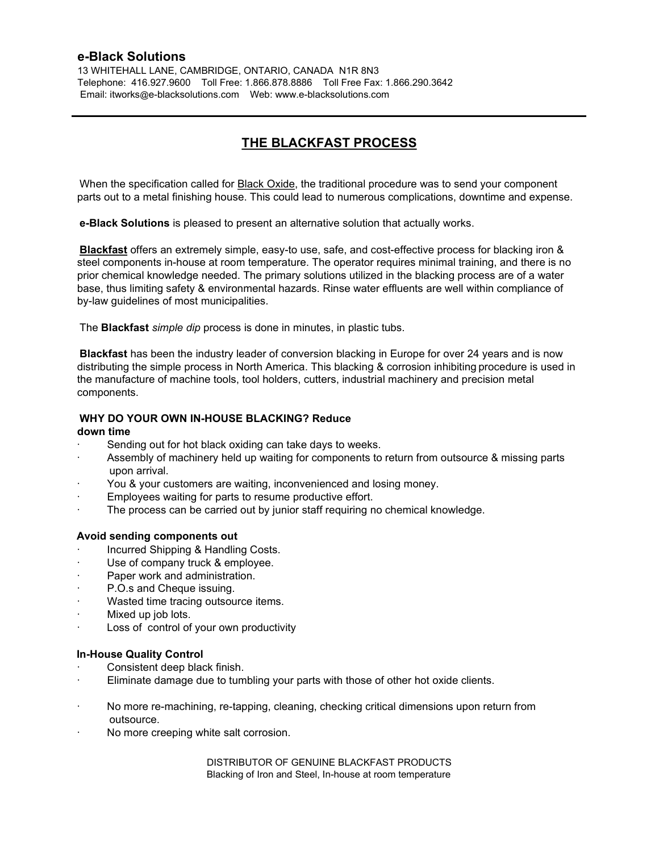13 WHITEHALL LANE, CAMBRIDGE, ONTARIO, CANADA N1R 8N3 Telephone: 416.927.9600 Toll Free: 1.866.878.8886 Toll Free Fax: 1.866.290.3642 Email: itworks@e-blacksolutions.com Web: www.e-blacksolutions.com

# **THE BLACKFAST PROCESS**

When the specification called for **Black Oxide**, the traditional procedure was to send your component parts out to a metal finishing house. This could lead to numerous complications, downtime and expense.

**e-Black Solutions** is pleased to present an alternative solution that actually works.

**Blackfast** offers an extremely simple, easy-to use, safe, and cost-effective process for blacking iron & steel components in-house at room temperature. The operator requires minimal training, and there is no prior chemical knowledge needed. The primary solutions utilized in the blacking process are of a water base, thus limiting safety & environmental hazards. Rinse water effluents are well within compliance of by-law guidelines of most municipalities.

The **Blackfast** *simple dip* process is done in minutes, in plastic tubs.

**Blackfast** has been the industry leader of conversion blacking in Europe for over 24 years and is now distributing the simple process in North America. This blacking & corrosion inhibiting procedure is used in the manufacture of machine tools, tool holders, cutters, industrial machinery and precision metal components.

#### **WHY DO YOUR OWN IN-HOUSE BLACKING? Reduce**

#### **down time**

- Sending out for hot black oxiding can take days to weeks.
- Assembly of machinery held up waiting for components to return from outsource & missing parts upon arrival.
- You & your customers are waiting, inconvenienced and losing money.
- Employees waiting for parts to resume productive effort.
- The process can be carried out by junior staff requiring no chemical knowledge.

#### **Avoid sending components out**

- Incurred Shipping & Handling Costs.
- Use of company truck & employee.
- Paper work and administration.
- P.O.s and Cheque issuing.
- Wasted time tracing outsource items.
- Mixed up job lots.
- Loss of control of your own productivity

#### **In-House Quality Control**

- Consistent deep black finish.
- Eliminate damage due to tumbling your parts with those of other hot oxide clients.
- · No more re-machining, re-tapping, cleaning, checking critical dimensions upon return from outsource.
- · No more creeping white salt corrosion.

DISTRIBUTOR OF GENUINE BLACKFAST PRODUCTS Blacking of Iron and Steel, In-house at room temperature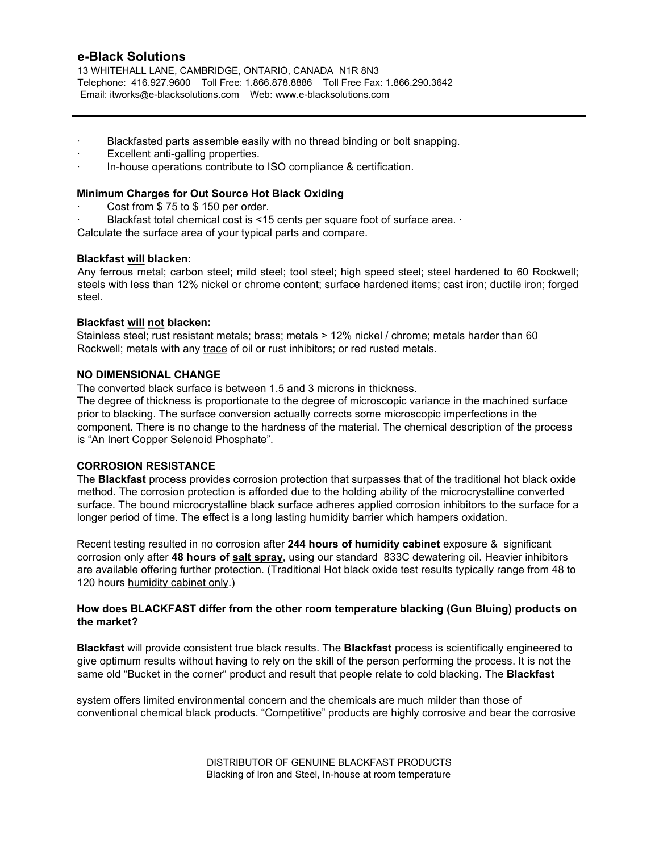13 WHITEHALL LANE, CAMBRIDGE, ONTARIO, CANADA N1R 8N3 Telephone: 416.927.9600 Toll Free: 1.866.878.8886 Toll Free Fax: 1.866.290.3642 Email: itworks@e-blacksolutions.com Web: www.e-blacksolutions.com

- Blackfasted parts assemble easily with no thread binding or bolt snapping.
- Excellent anti-galling properties.
- · In-house operations contribute to ISO compliance & certification.

### **Minimum Charges for Out Source Hot Black Oxiding**

- Cost from  $$75$  to  $$150$  per order.
- Blackfast total chemical cost is <15 cents per square foot of surface area. ·

Calculate the surface area of your typical parts and compare.

### **Blackfast will blacken:**

Any ferrous metal; carbon steel; mild steel; tool steel; high speed steel; steel hardened to 60 Rockwell; steels with less than 12% nickel or chrome content; surface hardened items; cast iron; ductile iron; forged steel.

### **Blackfast will not blacken:**

Stainless steel; rust resistant metals; brass; metals > 12% nickel / chrome; metals harder than 60 Rockwell; metals with any trace of oil or rust inhibitors; or red rusted metals.

### **NO DIMENSIONAL CHANGE**

The converted black surface is between 1.5 and 3 microns in thickness.

The degree of thickness is proportionate to the degree of microscopic variance in the machined surface prior to blacking. The surface conversion actually corrects some microscopic imperfections in the component. There is no change to the hardness of the material. The chemical description of the process is "An Inert Copper Selenoid Phosphate".

#### **CORROSION RESISTANCE**

The **Blackfast** process provides corrosion protection that surpasses that of the traditional hot black oxide method. The corrosion protection is afforded due to the holding ability of the microcrystalline converted surface. The bound microcrystalline black surface adheres applied corrosion inhibitors to the surface for a longer period of time. The effect is a long lasting humidity barrier which hampers oxidation.

Recent testing resulted in no corrosion after **244 hours of humidity cabinet** exposure & significant corrosion only after **48 hours of salt spray**, using our standard 833C dewatering oil. Heavier inhibitors are available offering further protection. (Traditional Hot black oxide test results typically range from 48 to 120 hours humidity cabinet only.)

### **How does BLACKFAST differ from the other room temperature blacking (Gun Bluing) products on the market?**

**Blackfast** will provide consistent true black results. The **Blackfast** process is scientifically engineered to give optimum results without having to rely on the skill of the person performing the process. It is not the same old "Bucket in the corner" product and result that people relate to cold blacking. The **Blackfast**

system offers limited environmental concern and the chemicals are much milder than those of conventional chemical black products. "Competitive" products are highly corrosive and bear the corrosive

> DISTRIBUTOR OF GENUINE BLACKFAST PRODUCTS Blacking of Iron and Steel, In-house at room temperature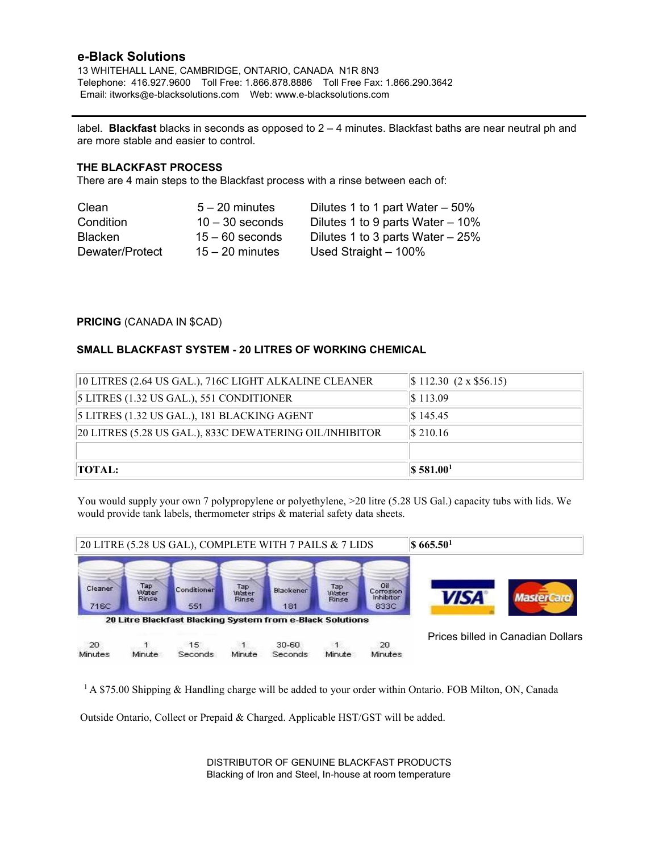13 WHITEHALL LANE, CAMBRIDGE, ONTARIO, CANADA N1R 8N3 Telephone: 416.927.9600 Toll Free: 1.866.878.8886 Toll Free Fax: 1.866.290.3642 Email: itworks@e-blacksolutions.com Web: www.e-blacksolutions.com

label. **Blackfast** blacks in seconds as opposed to 2 – 4 minutes. Blackfast baths are near neutral ph and are more stable and easier to control.

### **THE BLACKFAST PROCESS**

There are 4 main steps to the Blackfast process with a rinse between each of:

| Clean           | $5 - 20$ minutes  | Dilutes 1 to 1 part Water $-50\%$  |
|-----------------|-------------------|------------------------------------|
| Condition       | $10 - 30$ seconds | Dilutes 1 to 9 parts Water $-10\%$ |
| <b>Blacken</b>  | $15 - 60$ seconds | Dilutes 1 to 3 parts Water $-25%$  |
| Dewater/Protect | $15 - 20$ minutes | Used Straight $-100\%$             |

#### **PRICING** (CANADA IN \$CAD)

#### **SMALL BLACKFAST SYSTEM - 20 LITRES OF WORKING CHEMICAL**

| 10 LITRES (2.64 US GAL.), 716C LIGHT ALKALINE CLEANER   | $\vert$ \$ 112.30 (2 x \$56.15)   |
|---------------------------------------------------------|-----------------------------------|
| $\vert$ 5 LITRES (1.32 US GAL.), 551 CONDITIONER        | $\$\,113.09$                      |
| 5 LITRES (1.32 US GAL.), 181 BLACKING AGENT             | $\$\,145.45$                      |
| 20 LITRES (5.28 US GAL.), 833C DEWATERING OIL/INHIBITOR | $\$\,210.16$                      |
|                                                         |                                   |
| TOTAL:                                                  | $\sqrt{$}$ \$ 581.00 <sup>1</sup> |

You would supply your own 7 polypropylene or polyethylene, >20 litre (5.28 US Gal.) capacity tubs with lids. We would provide tank labels, thermometer strips & material safety data sheets.



<sup>1</sup> A \$75.00 Shipping & Handling charge will be added to your order within Ontario. FOB Milton, ON, Canada

Outside Ontario, Collect or Prepaid & Charged. Applicable HST/GST will be added.

DISTRIBUTOR OF GENUINE BLACKFAST PRODUCTS Blacking of Iron and Steel, In-house at room temperature